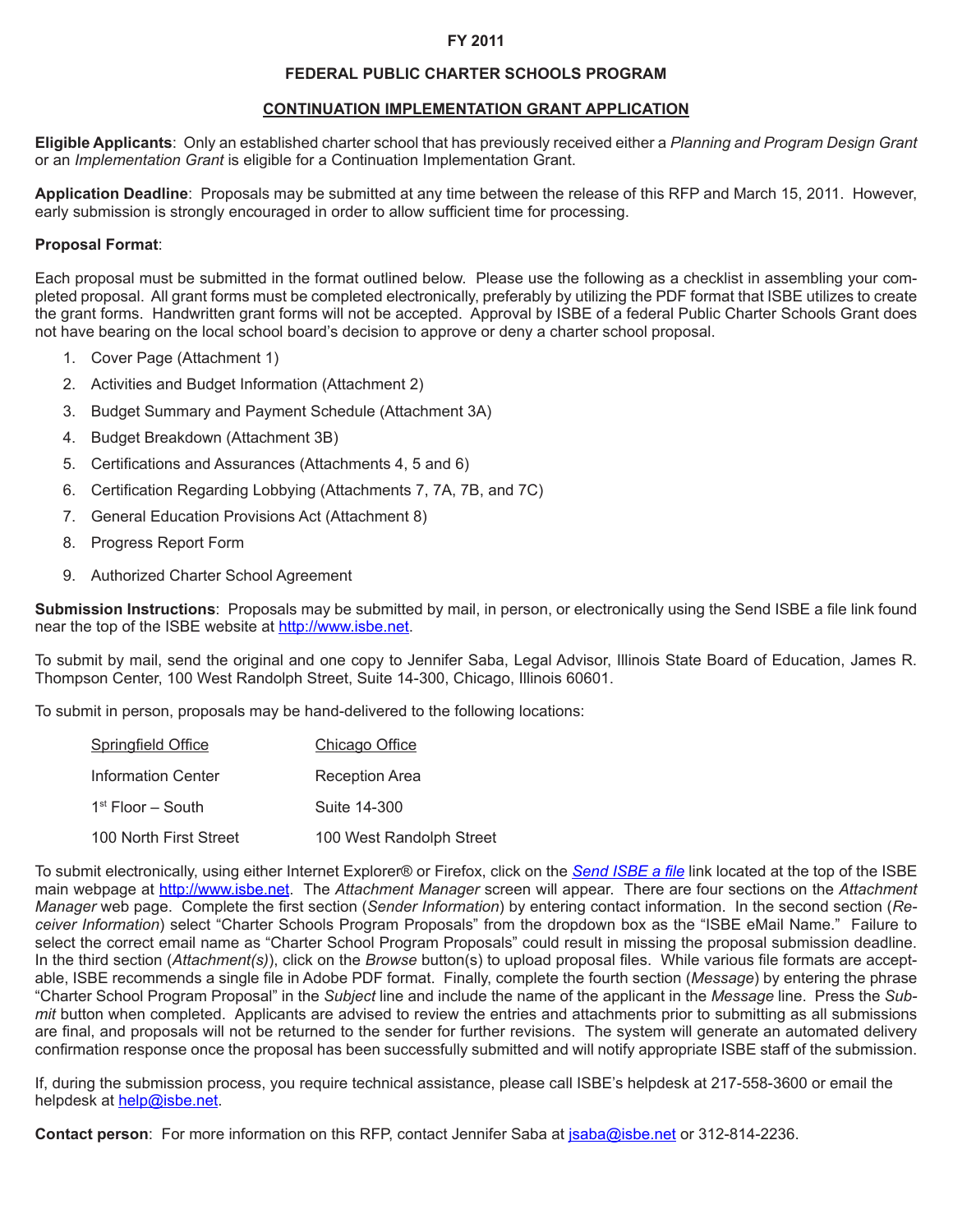#### **FY 2011**

### **FEDERAL PUBLIC CHARTER SCHOOLS PROGRAM**

#### **CONTINUATION IMPLEMENTATION GRANT APPLICATION**

**Eligible Applicants**: Only an established charter school that has previously received either a *Planning and Program Design Grant*  or an *Implementation Grant* is eligible for a Continuation Implementation Grant.

**Application Deadline**: Proposals may be submitted at any time between the release of this RFP and March 15, 2011. However, early submission is strongly encouraged in order to allow sufficient time for processing.

#### **Proposal Format**:

Each proposal must be submitted in the format outlined below. Please use the following as a checklist in assembling your completed proposal. All grant forms must be completed electronically, preferably by utilizing the PDF format that ISBE utilizes to create the grant forms. Handwritten grant forms will not be accepted. Approval by ISBE of a federal Public Charter Schools Grant does not have bearing on the local school board's decision to approve or deny a charter school proposal.

- 1. Cover Page (Attachment 1)
- 2. Activities and Budget Information (Attachment 2)
- 3. Budget Summary and Payment Schedule (Attachment 3A)
- 4. Budget Breakdown (Attachment 3B)
- 5. Certifications and Assurances (Attachments 4, 5 and 6)
- 6. Certification Regarding Lobbying (Attachments 7, 7A, 7B, and 7C)
- 7. General Education Provisions Act (Attachment 8)
- 8. Progress Report Form
- 9. Authorized Charter School Agreement

**Submission Instructions**: Proposals may be submitted by mail, in person, or electronically using the Send ISBE a file link found near the top of the ISBE website at http://www.isbe.net.

To submit by mail, send the original and one copy to Jennifer Saba, Legal Advisor, Illinois State Board of Education, James R. Thompson Center, 100 West Randolph Street, Suite 14-300, Chicago, Illinois 60601.

To submit in person, proposals may be hand-delivered to the following locations:

| <b>Springfield Office</b> | Chicago Office           |
|---------------------------|--------------------------|
| <b>Information Center</b> | Reception Area           |
| $1st$ Floor – South       | Suite 14-300             |
| 100 North First Street    | 100 West Randolph Street |

To submit electronically, using either Internet Explorer® or Firefox, click on the *Send ISBE a file* link located at the top of the ISBE main webpage at http://www.isbe.net. The *Attachment Manager* screen will appear. There are four sections on the *Attachment Manager* web page. Complete the first section (*Sender Information*) by entering contact information. In the second section (*Receiver Information*) select "Charter Schools Program Proposals" from the dropdown box as the "ISBE eMail Name." Failure to select the correct email name as "Charter School Program Proposals" could result in missing the proposal submission deadline. In the third section (*Attachment(s)*), click on the *Browse* button(s) to upload proposal files. While various file formats are acceptable, ISBE recommends a single file in Adobe PDF format. Finally, complete the fourth section (*Message*) by entering the phrase "Charter School Program Proposal" in the *Subject* line and include the name of the applicant in the *Message* line. Press the *Submit* button when completed. Applicants are advised to review the entries and attachments prior to submitting as all submissions are final, and proposals will not be returned to the sender for further revisions. The system will generate an automated delivery confirmation response once the proposal has been successfully submitted and will notify appropriate ISBE staff of the submission.

If, during the submission process, you require technical assistance, please call ISBE's helpdesk at 217-558-3600 or email the helpdesk at help@isbe.net.

**Contact person**: For more information on this RFP, contact Jennifer Saba at jsaba@isbe.net or 312-814-2236.